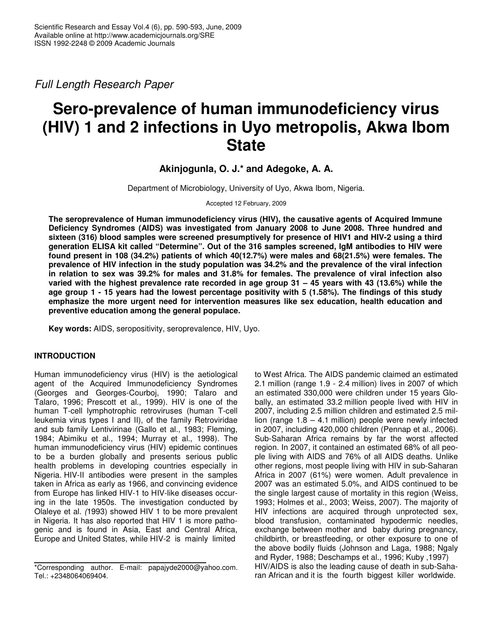*Full Length Research Paper*

# **Sero-prevalence of human immunodeficiency virus (HIV) 1 and 2 infections in Uyo metropolis, Akwa Ibom State**

**Akinjogunla, O. J.\* and Adegoke, A. A.**

Department of Microbiology, University of Uyo, Akwa Ibom, Nigeria.

Accepted 12 February, 2009

**The seroprevalence of Human immunodeficiency virus (HIV), the causative agents of Acquired Immune Deficiency Syndromes (AIDS) was investigated from January 2008 to June 2008. Three hundred and sixteen (316) blood samples were screened presumptively for presence of HIV1 and HIV-2 using a third generation ELISA kit called "Determine". Out of the 316 samples screened, IgM antibodies to HIV were found present in 108 (34.2%) patients of which 40(12.7%) were males and 68(21.5%) were females. The prevalence of HIV infection in the study population was 34.2% and the prevalence of the viral infection** in relation to sex was 39.2% for males and 31.8% for females. The prevalence of viral infection also varied with the highest prevalence rate recorded in age group  $31 - 45$  years with 43 (13.6%) while the age group 1 - 15 years had the lowest percentage positivity with 5 (1.58%). The findings of this study **emphasize the more urgent need for intervention measures like sex education, health education and preventive education among the general populace.**

**Key words:** AIDS, seropositivity, seroprevalence, HIV, Uyo.

## **INTRODUCTION**

Human immunodeficiency virus (HIV) is the aetiological agent of the Acquired Immunodeficiency Syndromes (Georges and Georges-Courboj, 1990; Talaro and Talaro, 1996; Prescott et al., 1999). HIV is one of the human T-cell lymphotrophic retroviruses (human T-cell leukemia virus types I and II), of the family Retroviridae and sub family Lentivirinae (Gallo et al., 1983; Fleming, 1984; Abimiku et al., 1994; Murray et al., 1998). The human immunodeficiency virus (HIV) epidemic continues to be a burden globally and presents serious public health problems in developing countries especially in Nigeria. HIV-II antibodies were present in the samples taken in Africa as early as 1966, and convincing evidence from Europe has linked HIV-1 to HIV-like diseases occuring in the late 1950s. The investigation conducted by Olaleye et al. *(*1993) showed HIV 1 to be more prevalent in Nigeria. It has also reported that HIV 1 is more pathogenic and is found in Asia, East and Central Africa, Europe and United States, while HIV-2 is mainly limited

to West Africa. The AIDS pandemic claimed an estimated 2.1 million (range 1.9 - 2.4 million) lives in 2007 of which an estimated 330,000 were children under 15 years Globally, an estimated 33.2 million people lived with HIV in 2007, including 2.5 million children and estimated 2.5 million (range 1.8 – 4.1 million) people were newly infected in 2007, including 420,000 children (Pennap et al., 2006). Sub-Saharan Africa remains by far the worst affected region. In 2007, it contained an estimated 68% of all people living with AIDS and 76% of all AIDS deaths. Unlike other regions, most people living with HIV in sub-Saharan Africa in 2007 (61%) were women. Adult prevalence in 2007 was an estimated 5.0%, and AIDS continued to be the single largest cause of mortality in this region (Weiss, 1993; Holmes et al., 2003; Weiss, 2007). The majority of HIV infections are acquired through unprotected sex, blood transfusion, contaminated hypodermic needles, exchange between mother and baby during pregnancy, childbirth, or breastfeeding, or other exposure to one of the above bodily fluids (Johnson and Laga, 1988; Ngaly and Ryder, 1988; Deschamps et al., 1996; Kuby ,1997) HIV/AIDS is also the leading cause of death in sub-Saharan African and it is the fourth biggest killer worldwide.

<sup>\*</sup>Corresponding author. E-mail: papajyde2000@yahoo.com. Tel.: +2348064069404.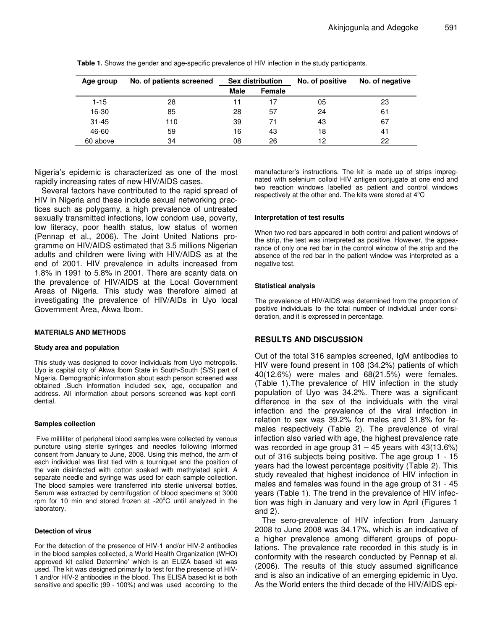| Age group | No. of patients screened | <b>Sex distribution</b> |               | No. of positive | No. of negative |
|-----------|--------------------------|-------------------------|---------------|-----------------|-----------------|
|           |                          | Male                    | <b>Female</b> |                 |                 |
| $1 - 15$  | 28                       | 11                      | 17            | 05              | 23              |
| 16-30     | 85                       | 28                      | 57            | 24              | 61              |
| $31 - 45$ | 110                      | 39                      | 71            | 43              | 67              |
| 46-60     | 59                       | 16                      | 43            | 18              | 41              |
| 60 above  | 34                       | 08                      | 26            | 12              | 22              |

**Table 1.** Shows the gender and age-specific prevalence of HIV infection in the study participants.

Nigeria's epidemic is characterized as one of the most rapidly increasing rates of new HIV/AIDS cases.

Several factors have contributed to the rapid spread of HIV in Nigeria and these include sexual networking practices such as polygamy, a high prevalence of untreated sexually transmitted infections, low condom use, poverty, low literacy, poor health status, low status of women (Pennap et al., 2006). The Joint United Nations programme on HIV/AIDS estimated that 3.5 millions Nigerian adults and children were living with HIV/AIDS as at the end of 2001. HIV prevalence in adults increased from 1.8% in 1991 to 5.8% in 2001. There are scanty data on the prevalence of HIV/AIDS at the Local Government Areas of Nigeria. This study was therefore aimed at investigating the prevalence of HIV/AIDs in Uyo local Government Area, Akwa Ibom.

## **MATERIALS AND METHODS**

#### **Study area and population**

This study was designed to cover individuals from Uyo metropolis. Uyo is capital city of Akwa Ibom State in South-South (S/S) part of Nigeria. Demographic information about each person screened was obtained .Such information included sex, age, occupation and address. All information about persons screened was kept confidential.

#### **Samples collection**

Five milliliter of peripheral blood samples were collected by venous puncture using sterile syringes and needles following informed consent from January to June, 2008. Using this method, the arm of each individual was first tied with a tourniquet and the position of the vein disinfected with cotton soaked with methylated spirit. A separate needle and syringe was used for each sample collection. The blood samples were transferred into sterile universal bottles. Serum was extracted by centrifugation of blood specimens at 3000 rpm for 10 min and stored frozen at -20°C until analyzed in the laboratory.

#### **Detection of virus**

For the detection of the presence of HIV-1 and/or HIV-2 antibodies in the blood samples collected, a World Health Organization (WHO) approved kit called Determine' which is an ELIZA based kit was used. The kit was designed primarily to test for the presence of HIV-1 and/or HIV-2 antibodies in the blood. This ELISA based kit is both sensitive and specific (99 - 100%) and was used according to the

manufacturer's instructions. The kit is made up of strips impregnated with selenium colloid HIV antigen conjugate at one end and two reaction windows labelled as patient and control windows respectively at the other end. The kits were stored at  $4^{\circ}$ C

#### **Interpretation of test results**

When two red bars appeared in both control and patient windows of the strip, the test was interpreted as positive. However, the appearance of only one red bar in the control window of the strip and the absence of the red bar in the patient window was interpreted as a negative test.

#### **Statistical analysis**

The prevalence of HIV/AIDS was determined from the proportion of positive individuals to the total number of individual under consideration, and it is expressed in percentage.

## **RESULTS AND DISCUSSION**

Out of the total 316 samples screened, IgM antibodies to HIV were found present in 108 (34.2%) patients of which 40(12.6%) were males and 68(21.5%) were females. (Table 1).The prevalence of HIV infection in the study population of Uyo was 34.2%. There was a significant difference in the sex of the individuals with the viral infection and the prevalence of the viral infection in relation to sex was 39.2% for males and 31.8% for females respectively (Table 2). The prevalence of viral infection also varied with age, the highest prevalence rate was recorded in age group  $31 - 45$  years with  $43(13.6%)$ out of 316 subjects being positive. The age group 1 - 15 years had the lowest percentage positivity (Table 2). This study revealed that highest incidence of HIV infection in males and females was found in the age group of 31 - 45 years (Table 1). The trend in the prevalence of HIV infection was high in January and very low in April (Figures 1 and 2).

The sero-prevalence of HIV infection from January 2008 to June 2008 was 34.17%, which is an indicative of a higher prevalence among different groups of populations. The prevalence rate recorded in this study is in conformity with the research conducted by Pennap et al. (2006). The results of this study assumed significance and is also an indicative of an emerging epidemic in Uyo. As the World enters the third decade of the HIV/AIDS epi-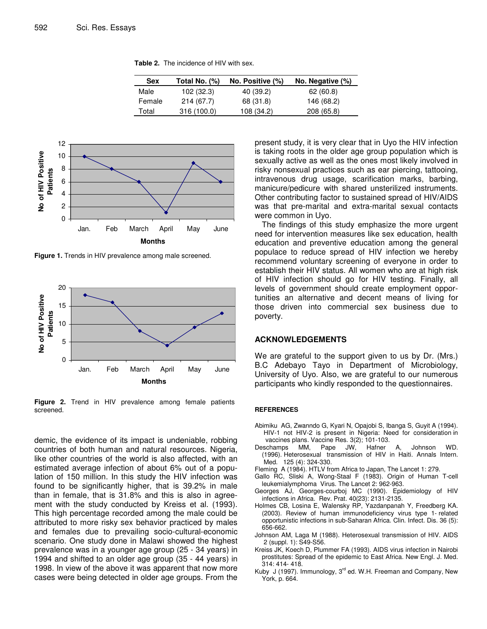**Table 2.** The incidence of HIV with sex.

| <b>Sex</b> | Total No. (%) | No. Positive (%) | No. Negative (%) |
|------------|---------------|------------------|------------------|
| Male       | 102 (32.3)    | 40 (39.2)        | 62(60.8)         |
| Female     | 214 (67.7)    | 68 (31.8)        | 146 (68.2)       |
| Total      | 316 (100.0)   | 108 (34.2)       | 208 (65.8)       |



**Figure 1.** Trends in HIV prevalence among male screened.



**Figure 2.** Trend in HIV prevalence among female patients screened.

demic, the evidence of its impact is undeniable, robbing countries of both human and natural resources. Nigeria, like other countries of the world is also affected, with an estimated average infection of about 6% out of a population of 150 million. In this study the HIV infection was found to be significantly higher, that is 39.2% in male than in female, that is 31.8% and this is also in agreement with the study conducted by Kreiss et al. (1993). This high percentage recorded among the male could be attributed to more risky sex behavior practiced by males and females due to prevailing socio-cultural-economic scenario. One study done in Malawi showed the highest prevalence was in a younger age group (25 - 34 years) in 1994 and shifted to an older age group (35 - 44 years) in 1998. In view of the above it was apparent that now more cases were being detected in older age groups. From the present study, it is very clear that in Uyo the HIV infection is taking roots in the older age group population which is sexually active as well as the ones most likely involved in risky nonsexual practices such as ear piercing, tattooing, intravenous drug usage, scarification marks, barbing, manicure/pedicure with shared unsterilized instruments. Other contributing factor to sustained spread of HIV/AIDS was that pre-marital and extra-marital sexual contacts were common in Uyo.

The findings of this study emphasize the more urgent need for intervention measures like sex education, health education and preventive education among the general populace to reduce spread of HIV infection we hereby recommend voluntary screening of everyone in order to establish their HIV status. All women who are at high risk of HIV infection should go for HIV testing. Finally, all levels of government should create employment opportunities an alternative and decent means of living for those driven into commercial sex business due to poverty.

## **ACKNOWLEDGEMENTS**

We are grateful to the support given to us by Dr. (Mrs.) B.C Adebayo Tayo in Department of Microbiology, University of Uyo. Also, we are grateful to our numerous participants who kindly responded to the questionnaires.

#### **REFERENCES**

- Abimiku AG, Zwanndo G, Kyari N, Opajobi S, Ibanga S, Guyit A (1994). HIV-1 not HIV-2 is present in Nigeria: Need for consideration in vaccines plans. Vaccine Res. 3(2); 101-103.<br>champs MM, Pape JW, Hafner
- Deschamps MM, Pape JW, Hafner A, Johnson WD. (1996). Heterosexual transmission of HIV in Haiti. Annals Intern. Med. 125 (4): 324-330.
- Fleming A (1984). HTLV from Africa to Japan, The Lancet 1: 279.
- Gallo RC, Sliski A, Wong-Staal F (1983). Origin of Human T-cell leukemialymphoma Virus. The Lancet 2: 962-963.
- Georges AJ, Georges-courboj MC (1990). Epidemiology of HIV infections in Africa. Rev. Prat*.* 40(23): 2131-2135.
- Holmes CB, Losina E, Walensky RP, Yazdanpanah Y, Freedberg KA. (2003). Review of human immunodeficiency virus type 1- related opportunistic infections in sub-Saharan Africa. Clin. Infect. Dis*.* 36 (5): 656-662.
- Johnson AM, Laga M (1988). Heterosexual transmission of HIV. AIDS 2 (suppl. 1): S49-S56.
- Kreiss JK, Koech D, Plummer FA (1993). AIDS virus infection in Nairobi prostitutes: Spread of the epidemic to East Africa. New Engl. J. Med. 314: 414- 418.
- Kuby J (1997). Immunology, 3<sup>rd</sup> ed. W.H. Freeman and Company, New York, p. 664.